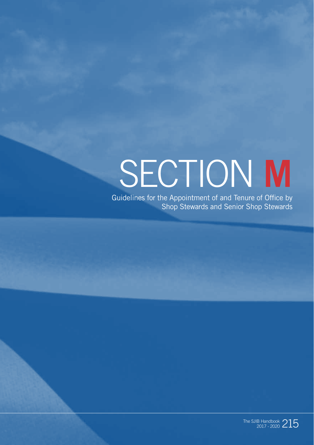# SECTION **M**

Guidelines for the Appointment of and Tenure of Office by Shop Stewards and Senior Shop Stewards

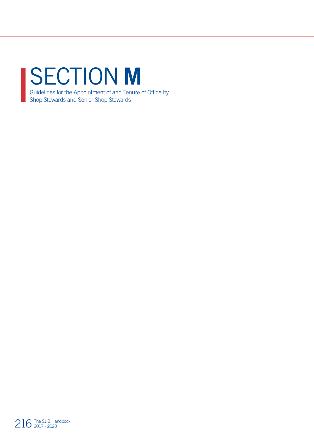#### SECTION **M** Guidelines for the Appointment of and Tenure of Office by Shop Stewards and Senior Shop Stewards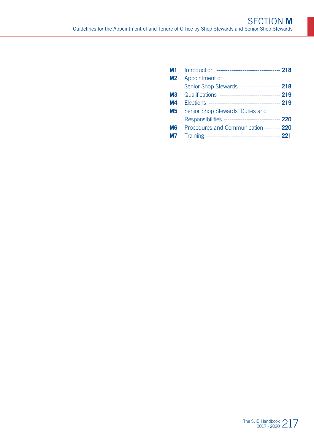| M1 = | Introduction ---------------------------------- 218  |  |
|------|------------------------------------------------------|--|
| M2   | Appointment of                                       |  |
|      | Senior Shop Stewards -------------------- 218        |  |
| М3   | Qualifications --------------------------------- 219 |  |
| M4   |                                                      |  |
| M5   | Senior Shop Stewards' Duties and                     |  |
|      | Responsibilities ------------------------------- 220 |  |
| M6 I | Procedures and Communication -------- 220            |  |
| М7   |                                                      |  |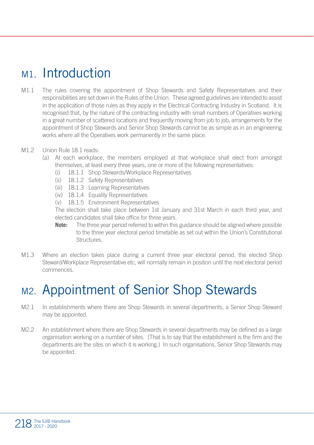#### M<sub>1</sub> Introduction

- M1.1 The rules covering the appointment of Shop Stewards and Safety Representatives and their responsibilities are set down in the Rules of the Union. These agreed guidelines are intended to assist in the application of those rules as they apply in the Electrical Contracting Industry in Scotland. It is recognised that, by the nature of the contracting industry with small numbers of Operatives working in a great number of scattered locations and frequently moving from job to job, arrangements for the appointment of Shop Stewards and Senior Shop Stewards cannot be as simple as in an engineering works where all the Operatives work permanently in the same place.
- M1.2 Union Rule 18.1 reads:
	- (a) At each workplace, the members employed at that workplace shall elect from amongst themselves, at least every three years, one or more of the following representatives:
		- (i) 18.1.1 Shop Stewards/Workplace Representatives
		- (ii) 18.1.2 Safety Representatives
		- (iii) 18.1.3 Learning Representatives
		- (iv) 18.1.4 Equality Representatives
		- (v) 18.1.5 Environment Representatives

The election shall take place between 1st January and 31st March in each third year, and elected candidates shall take office for three years.

- **Note:** The three year period referred to within this guidance should be aligned where possible to the three year electoral period timetable as set out within the Union's Constitutional Structures.
- M1.3 Where an election takes place during a current three year electoral period, the elected Shop Steward/Workplace Representative etc, will normally remain in position until the next electoral period commences.

#### M2. Appointment of Senior Shop Stewards

- M2.1 In establishments where there are Shop Stewards in several departments, a Senior Shop Steward may be appointed.
- M<sub>2.2</sub> An establishment where there are Shop Stewards in several departments may be defined as a large organisation working on a number of sites. (That is to say that the establishment is the firm and the departments are the sites on which it is working.) In such organisations, Senior Shop Stewards may be appointed.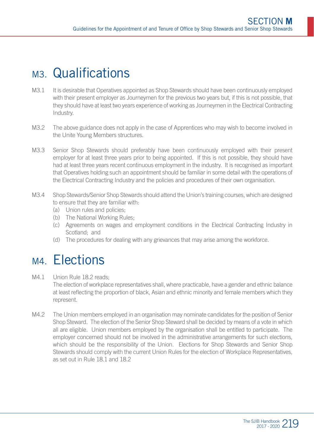## M<sub>3</sub>. Qualifications

- M3.1 It is desirable that Operatives appointed as Shop Stewards should have been continuously employed with their present employer as Journeymen for the previous two years but, if this is not possible, that they should have at least two years experience of working as Journeymen in the Electrical Contracting Industry.
- M3.2 The above guidance does not apply in the case of Apprentices who may wish to become involved in the Unite Young Members structures.
- M3.3 Senior Shop Stewards should preferably have been continuously employed with their present employer for at least three years prior to being appointed. If this is not possible, they should have had at least three years recent continuous employment in the industry. It is recognised as important that Operatives holding such an appointment should be familiar in some detail with the operations of the Electrical Contracting Industry and the policies and procedures of their own organisation.
- M3.4 Shop Stewards/Senior Shop Stewards should attend the Union's training courses, which are designed to ensure that they are familiar with:
	- (a) Union rules and policies;
	- (b) The National Working Rules;
	- (c) Agreements on wages and employment conditions in the Electrical Contracting Industry in Scotland; and
	- (d) The procedures for dealing with any grievances that may arise among the workforce.

#### M<sub>4</sub> Flections

- M4.1 Union Rule 18.2 reads: The election of workplace representatives shall, where practicable, have a gender and ethnic balance at least reflecting the proportion of black, Asian and ethnic minority and female members which they represent.
- M4.2 The Union members employed in an organisation may nominate candidates for the position of Senior Shop Steward. The election of the Senior Shop Steward shall be decided by means of a vote in which all are eligible. Union members employed by the organisation shall be entitled to participate. The employer concerned should not be involved in the administrative arrangements for such elections, which should be the responsibility of the Union. Elections for Shop Stewards and Senior Shop Stewards should comply with the current Union Rules for the election of Workplace Representatives, as set out in Rule 18.1 and 18.2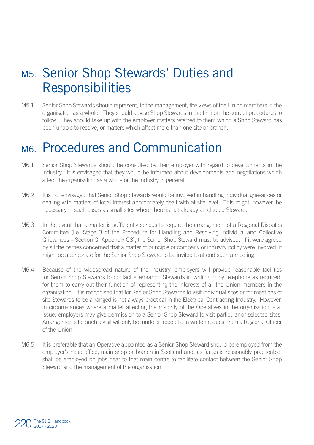#### M5. Senior Shop Stewards' Duties and **Responsibilities**

M5.1 Senior Shop Stewards should represent, to the management, the views of the Union members in the organisation as a whole. They should advise Shop Stewards in the firm on the correct procedures to follow. They should take up with the employer matters referred to them which a Shop Steward has been unable to resolve, or matters which affect more than one site or branch.

## M6. Procedures and Communication

- M6.1 Senior Shop Stewards should be consulted by their employer with regard to developments in the industry. It is envisaged that they would be informed about developments and negotiations which affect the organisation as a whole or the industry in general.
- M6.2 It is not envisaged that Senior Shop Stewards would be involved in handling individual grievances or dealing with matters of local interest appropriately dealt with at site level. This might, however, be necessary in such cases as small sites where there is not already an elected Steward.
- M6.3 In the event that a matter is sufficiently serious to require the arrangement of a Regional Disputes Committee (i.e. Stage 3 of the Procedure for Handling and Resolving Individual and Collective Grievances – Section G, Appendix G8), the Senior Shop Steward must be advised. If it were agreed by all the parties concerned that a matter of principle or company or industry policy were involved, it might be appropriate for the Senior Shop Steward to be invited to attend such a meeting.
- M6.4 Because of the widespread nature of the industry, employers will provide reasonable facilities for Senior Shop Stewards to contact site/branch Stewards in writing or by telephone as required, for them to carry out their function of representing the interests of all the Union members in the organisation. It is recognised that for Senior Shop Stewards to visit individual sites or for meetings of site Stewards to be arranged is not always practical in the Electrical Contracting Industry. However, in circumstances where a matter affecting the majority of the Operatives in the organisation is at issue, employers may give permission to a Senior Shop Steward to visit particular or selected sites. Arrangements for such a visit will only be made on receipt of a written request from a Regional Officer of the Union.
- M6.5 It is preferable that an Operative appointed as a Senior Shop Steward should be employed from the employer's head office, main shop or branch in Scotland and, as far as is reasonably practicable, shall be employed on jobs near to that main centre to facilitate contact between the Senior Shop Steward and the management of the organisation.

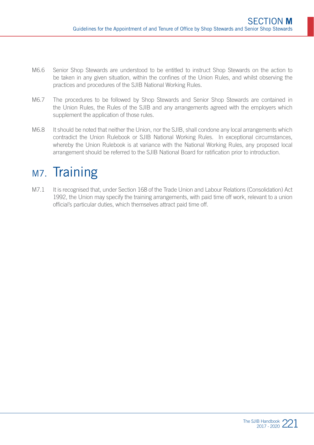- M6.6 Senior Shop Stewards are understood to be entitled to instruct Shop Stewards on the action to be taken in any given situation, within the confines of the Union Rules, and whilst observing the practices and procedures of the SJIB National Working Rules.
- M6.7 The procedures to be followed by Shop Stewards and Senior Shop Stewards are contained in the Union Rules, the Rules of the SJIB and any arrangements agreed with the employers which supplement the application of those rules.
- M6.8 It should be noted that neither the Union, nor the SJIB, shall condone any local arrangements which contradict the Union Rulebook or SJIB National Working Rules. In exceptional circumstances, whereby the Union Rulebook is at variance with the National Working Rules, any proposed local arrangement should be referred to the SJIB National Board for ratification prior to introduction.

## M<sub>7</sub>. Training

M7.1 It is recognised that, under Section 168 of the Trade Union and Labour Relations (Consolidation) Act 1992, the Union may specify the training arrangements, with paid time off work, relevant to a union official's particular duties, which themselves attract paid time off.